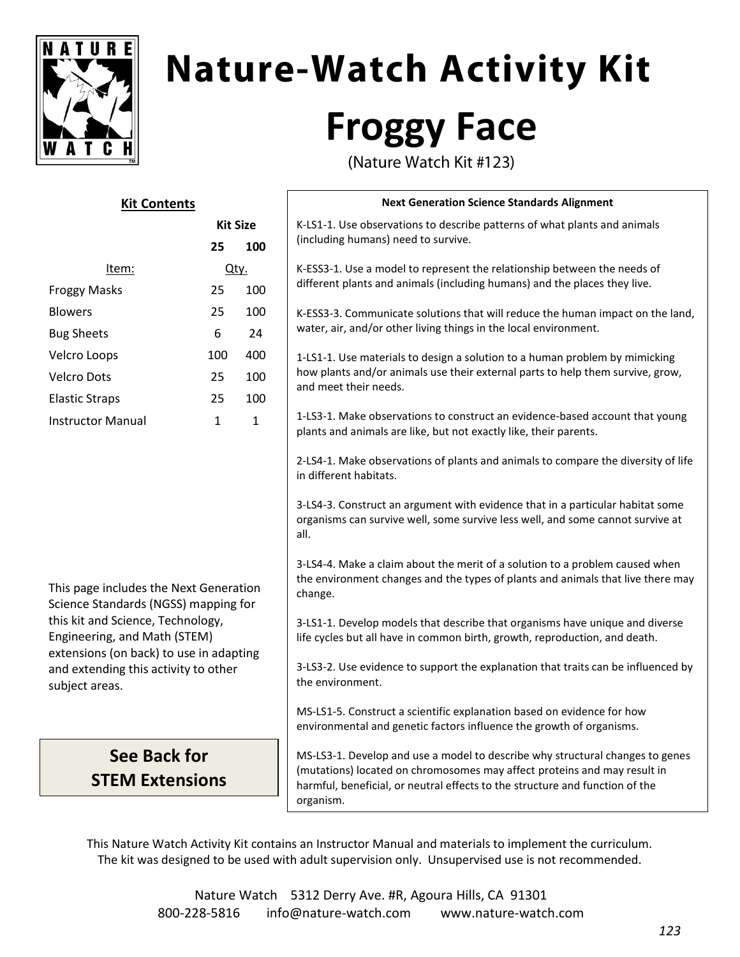

# **Nature-Watch Activity Kit Froggy Face**

(Nature Watch Kit #123)

| <b>Kit Contents</b>                                                                                          |                 |              | <b>Next Generation Science Standards Alignment</b>                                                                                                                                                                                                     |
|--------------------------------------------------------------------------------------------------------------|-----------------|--------------|--------------------------------------------------------------------------------------------------------------------------------------------------------------------------------------------------------------------------------------------------------|
|                                                                                                              | <b>Kit Size</b> |              | K-LS1-1. Use observations to describe patterns of what plants and animals<br>(including humans) need to survive.                                                                                                                                       |
|                                                                                                              | 25              | 100          |                                                                                                                                                                                                                                                        |
| Item:                                                                                                        | Qty.            |              | K-ESS3-1. Use a model to represent the relationship between the needs of<br>different plants and animals (including humans) and the places they live.                                                                                                  |
| <b>Froggy Masks</b>                                                                                          | 25              | 100          |                                                                                                                                                                                                                                                        |
| <b>Blowers</b>                                                                                               | 25              | 100          | K-ESS3-3. Communicate solutions that will reduce the human impact on the land,                                                                                                                                                                         |
| <b>Bug Sheets</b>                                                                                            | 6               | 24           | water, air, and/or other living things in the local environment.                                                                                                                                                                                       |
| Velcro Loops                                                                                                 | 100             | 400          | 1-LS1-1. Use materials to design a solution to a human problem by mimicking<br>how plants and/or animals use their external parts to help them survive, grow,<br>and meet their needs.                                                                 |
| <b>Velcro Dots</b>                                                                                           | 25              | 100          |                                                                                                                                                                                                                                                        |
| <b>Elastic Straps</b>                                                                                        | 25              | 100          |                                                                                                                                                                                                                                                        |
| <b>Instructor Manual</b>                                                                                     | $\mathbf{1}$    | $\mathbf{1}$ | 1-LS3-1. Make observations to construct an evidence-based account that young<br>plants and animals are like, but not exactly like, their parents.                                                                                                      |
|                                                                                                              |                 |              | 2-LS4-1. Make observations of plants and animals to compare the diversity of life<br>in different habitats.                                                                                                                                            |
|                                                                                                              |                 |              | 3-LS4-3. Construct an argument with evidence that in a particular habitat some<br>organisms can survive well, some survive less well, and some cannot survive at<br>all.                                                                               |
| This page includes the Next Generation<br>Science Standards (NGSS) mapping for                               |                 |              | 3-LS4-4. Make a claim about the merit of a solution to a problem caused when<br>the environment changes and the types of plants and animals that live there may<br>change.                                                                             |
| this kit and Science, Technology,<br>Engineering, and Math (STEM)<br>extensions (on back) to use in adapting |                 |              | 3-LS1-1. Develop models that describe that organisms have unique and diverse<br>life cycles but all have in common birth, growth, reproduction, and death.                                                                                             |
| and extending this activity to other<br>subject areas.                                                       |                 |              | 3-LS3-2. Use evidence to support the explanation that traits can be influenced by<br>the environment.                                                                                                                                                  |
|                                                                                                              |                 |              | MS-LS1-5. Construct a scientific explanation based on evidence for how<br>environmental and genetic factors influence the growth of organisms.                                                                                                         |
| <b>See Back for</b>                                                                                          |                 |              | MS-LS3-1. Develop and use a model to describe why structural changes to genes<br>(mutations) located on chromosomes may affect proteins and may result in<br>harmful, beneficial, or neutral effects to the structure and function of the<br>organism. |
| <b>STEM Extensions</b>                                                                                       |                 |              |                                                                                                                                                                                                                                                        |

This Nature Watch Activity Kit contains an Instructor Manual and materials to implement the curriculum. The kit was designed to be used with adult supervision only. Unsupervised use is not recommended.